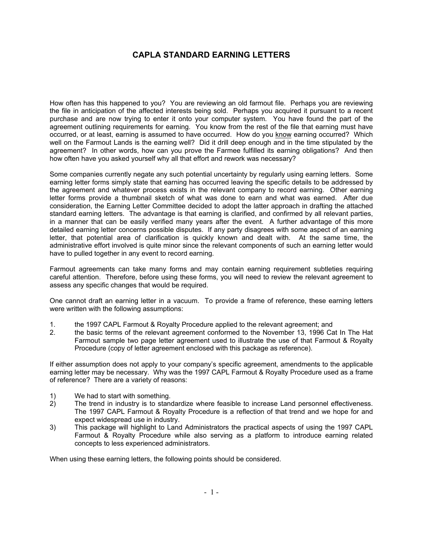## **CAPLA STANDARD EARNING LETTERS**

How often has this happened to you? You are reviewing an old farmout file. Perhaps you are reviewing the file in anticipation of the affected interests being sold. Perhaps you acquired it pursuant to a recent purchase and are now trying to enter it onto your computer system. You have found the part of the agreement outlining requirements for earning. You know from the rest of the file that earning must have occurred, or at least, earning is assumed to have occurred. How do you know earning occurred? Which well on the Farmout Lands is the earning well? Did it drill deep enough and in the time stipulated by the agreement? In other words, how can you prove the Farmee fulfilled its earning obligations? And then how often have you asked yourself why all that effort and rework was necessary?

Some companies currently negate any such potential uncertainty by regularly using earning letters. Some earning letter forms simply state that earning has occurred leaving the specific details to be addressed by the agreement and whatever process exists in the relevant company to record earning. Other earning letter forms provide a thumbnail sketch of what was done to earn and what was earned. After due consideration, the Earning Letter Committee decided to adopt the latter approach in drafting the attached standard earning letters. The advantage is that earning is clarified, and confirmed by all relevant parties, in a manner that can be easily verified many years after the event. A further advantage of this more detailed earning letter concerns possible disputes. If any party disagrees with some aspect of an earning letter, that potential area of clarification is quickly known and dealt with. At the same time, the administrative effort involved is quite minor since the relevant components of such an earning letter would have to pulled together in any event to record earning.

Farmout agreements can take many forms and may contain earning requirement subtleties requiring careful attention. Therefore, before using these forms, you will need to review the relevant agreement to assess any specific changes that would be required.

One cannot draft an earning letter in a vacuum. To provide a frame of reference, these earning letters were written with the following assumptions:

- 1. the 1997 CAPL Farmout & Royalty Procedure applied to the relevant agreement; and
- 2. the basic terms of the relevant agreement conformed to the November 13, 1996 Cat In The Hat Farmout sample two page letter agreement used to illustrate the use of that Farmout & Royalty Procedure (copy of letter agreement enclosed with this package as reference).

If either assumption does not apply to your company's specific agreement, amendments to the applicable earning letter may be necessary. Why was the 1997 CAPL Farmout & Royalty Procedure used as a frame of reference? There are a variety of reasons:

- 1) We had to start with something.
- 2) The trend in industry is to standardize where feasible to increase Land personnel effectiveness. The 1997 CAPL Farmout & Royalty Procedure is a reflection of that trend and we hope for and expect widespread use in industry.
- 3) This package will highlight to Land Administrators the practical aspects of using the 1997 CAPL Farmout & Royalty Procedure while also serving as a platform to introduce earning related concepts to less experienced administrators.

When using these earning letters, the following points should be considered.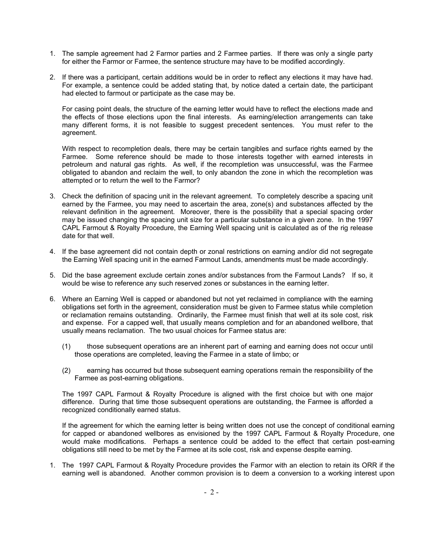- 1. The sample agreement had 2 Farmor parties and 2 Farmee parties. If there was only a single party for either the Farmor or Farmee, the sentence structure may have to be modified accordingly.
- 2. If there was a participant, certain additions would be in order to reflect any elections it may have had. For example, a sentence could be added stating that, by notice dated a certain date, the participant had elected to farmout or participate as the case may be.

For casing point deals, the structure of the earning letter would have to reflect the elections made and the effects of those elections upon the final interests. As earning/election arrangements can take many different forms, it is not feasible to suggest precedent sentences. You must refer to the agreement.

With respect to recompletion deals, there may be certain tangibles and surface rights earned by the Farmee. Some reference should be made to those interests together with earned interests in petroleum and natural gas rights. As well, if the recompletion was unsuccessful, was the Farmee obligated to abandon and reclaim the well, to only abandon the zone in which the recompletion was attempted or to return the well to the Farmor?

- 3. Check the definition of spacing unit in the relevant agreement. To completely describe a spacing unit earned by the Farmee, you may need to ascertain the area, zone(s) and substances affected by the relevant definition in the agreement. Moreover, there is the possibility that a special spacing order may be issued changing the spacing unit size for a particular substance in a given zone. In the 1997 CAPL Farmout & Royalty Procedure, the Earning Well spacing unit is calculated as of the rig release date for that well.
- 4. If the base agreement did not contain depth or zonal restrictions on earning and/or did not segregate the Earning Well spacing unit in the earned Farmout Lands, amendments must be made accordingly.
- 5. Did the base agreement exclude certain zones and/or substances from the Farmout Lands? If so, it would be wise to reference any such reserved zones or substances in the earning letter.
- 6. Where an Earning Well is capped or abandoned but not yet reclaimed in compliance with the earning obligations set forth in the agreement, consideration must be given to Farmee status while completion or reclamation remains outstanding. Ordinarily, the Farmee must finish that well at its sole cost, risk and expense. For a capped well, that usually means completion and for an abandoned wellbore, that usually means reclamation. The two usual choices for Farmee status are:
	- (1) those subsequent operations are an inherent part of earning and earning does not occur until those operations are completed, leaving the Farmee in a state of limbo; or
	- (2) earning has occurred but those subsequent earning operations remain the responsibility of the Farmee as post-earning obligations.

The 1997 CAPL Farmout & Royalty Procedure is aligned with the first choice but with one major difference. During that time those subsequent operations are outstanding, the Farmee is afforded a recognized conditionally earned status.

If the agreement for which the earning letter is being written does not use the concept of conditional earning for capped or abandoned wellbores as envisioned by the 1997 CAPL Farmout & Royalty Procedure, one would make modifications. Perhaps a sentence could be added to the effect that certain post-earning obligations still need to be met by the Farmee at its sole cost, risk and expense despite earning.

1. The 1997 CAPL Farmout & Royalty Procedure provides the Farmor with an election to retain its ORR if the earning well is abandoned. Another common provision is to deem a conversion to a working interest upon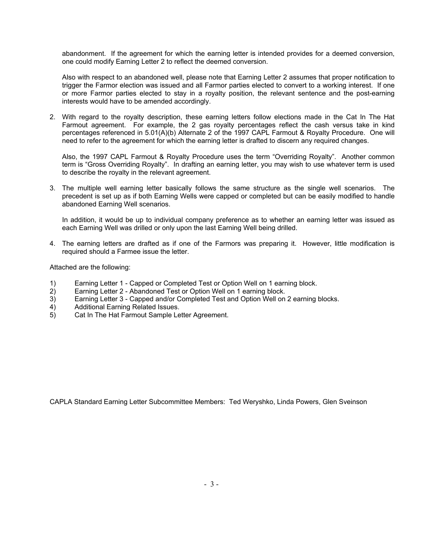abandonment. If the agreement for which the earning letter is intended provides for a deemed conversion, one could modify Earning Letter 2 to reflect the deemed conversion.

Also with respect to an abandoned well, please note that Earning Letter 2 assumes that proper notification to trigger the Farmor election was issued and all Farmor parties elected to convert to a working interest. If one or more Farmor parties elected to stay in a royalty position, the relevant sentence and the post-earning interests would have to be amended accordingly.

2. With regard to the royalty description, these earning letters follow elections made in the Cat In The Hat Farmout agreement. For example, the 2 gas royalty percentages reflect the cash versus take in kind percentages referenced in 5.01(A)(b) Alternate 2 of the 1997 CAPL Farmout & Royalty Procedure. One will need to refer to the agreement for which the earning letter is drafted to discern any required changes.

Also, the 1997 CAPL Farmout & Royalty Procedure uses the term "Overriding Royalty". Another common term is "Gross Overriding Royalty". In drafting an earning letter, you may wish to use whatever term is used to describe the royalty in the relevant agreement.

3. The multiple well earning letter basically follows the same structure as the single well scenarios. The precedent is set up as if both Earning Wells were capped or completed but can be easily modified to handle abandoned Earning Well scenarios.

In addition, it would be up to individual company preference as to whether an earning letter was issued as each Earning Well was drilled or only upon the last Earning Well being drilled.

4. The earning letters are drafted as if one of the Farmors was preparing it. However, little modification is required should a Farmee issue the letter.

Attached are the following:

- 1) Earning Letter 1 Capped or Completed Test or Option Well on 1 earning block.
- 2) Earning Letter 2 Abandoned Test or Option Well on 1 earning block.
- 3) Earning Letter 3 Capped and/or Completed Test and Option Well on 2 earning blocks.
- 4) Additional Earning Related Issues.
- 5) Cat In The Hat Farmout Sample Letter Agreement.

CAPLA Standard Earning Letter Subcommittee Members: Ted Weryshko, Linda Powers, Glen Sveinson